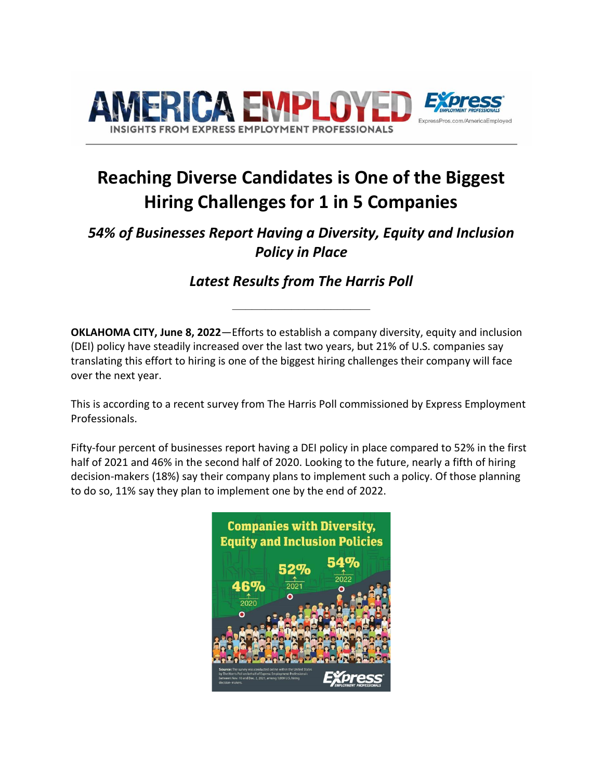

# **Reaching Diverse Candidates is One of the Biggest Hiring Challenges for 1 in 5 Companies**

## *54% of Businesses Report Having a Diversity, Equity and Inclusion Policy in Place*

*Latest Results from The Harris Poll*

**\_\_\_\_\_\_\_\_\_\_\_\_\_\_\_\_\_\_\_\_\_**

**OKLAHOMA CITY, June 8, 2022**—Efforts to establish a company diversity, equity and inclusion (DEI) policy have steadily increased over the last two years, but 21% of U.S. companies say translating this effort to hiring is one of the biggest hiring challenges their company will face over the next year.

This is according to a recent survey from The Harris Poll commissioned by Express Employment Professionals.

Fifty-four percent of businesses report having a DEI policy in place compared to 52% in the first half of 2021 and 46% in the second half of 2020. Looking to the future, nearly a fifth of hiring decision-makers (18%) say their company plans to implement such a policy. Of those planning to do so, 11% say they plan to implement one by the end of 2022.

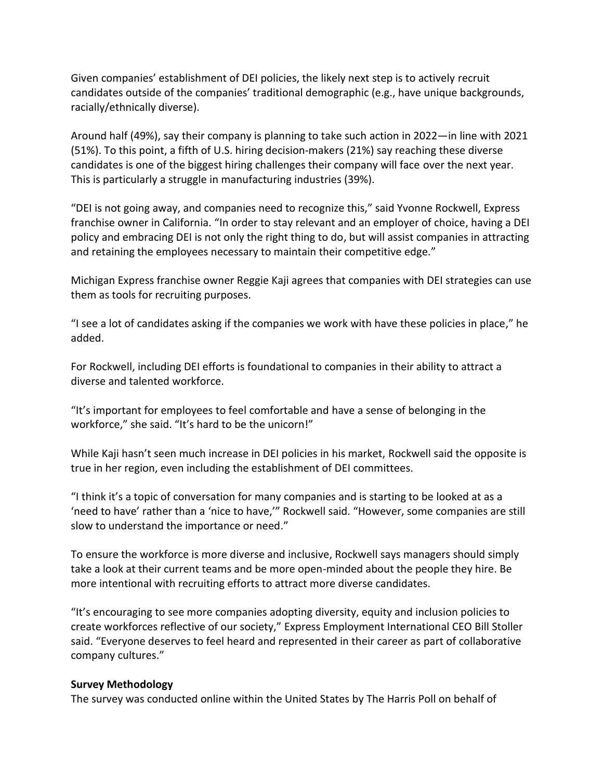Given companies' establishment of DEI policies, the likely next step is to actively recruit candidates outside of the companies' traditional demographic (e.g., have unique backgrounds, racially/ethnically diverse).

Around half (49%), say their company is planning to take such action in 2022—in line with 2021 (51%). To this point, a fifth of U.S. hiring decision-makers (21%) say reaching these diverse candidates is one of the biggest hiring challenges their company will face over the next year. This is particularly a struggle in manufacturing industries (39%).

"DEI is not going away, and companies need to recognize this," said Yvonne Rockwell, Express franchise owner in California. "In order to stay relevant and an employer of choice, having a DEI policy and embracing DEI is not only the right thing to do, but will assist companies in attracting and retaining the employees necessary to maintain their competitive edge."

Michigan Express franchise owner Reggie Kaji agrees that companies with DEI strategies can use them as tools for recruiting purposes.

"I see a lot of candidates asking if the companies we work with have these policies in place," he added.

For Rockwell, including DEI efforts is foundational to companies in their ability to attract a diverse and talented workforce.

"It's important for employees to feel comfortable and have a sense of belonging in the workforce," she said. "It's hard to be the unicorn!"

While Kaji hasn't seen much increase in DEI policies in his market, Rockwell said the opposite is true in her region, even including the establishment of DEI committees.

"I think it's a topic of conversation for many companies and is starting to be looked at as a 'need to have' rather than a 'nice to have,'" Rockwell said. "However, some companies are still slow to understand the importance or need."

To ensure the workforce is more diverse and inclusive, Rockwell says managers should simply take a look at their current teams and be more open-minded about the people they hire. Be more intentional with recruiting efforts to attract more diverse candidates.

"It's encouraging to see more companies adopting diversity, equity and inclusion policies to create workforces reflective of our society," Express Employment International CEO Bill Stoller said. "Everyone deserves to feel heard and represented in their career as part of collaborative company cultures."

### **Survey Methodology**

The survey was conducted online within the United States by The Harris Poll on behalf of